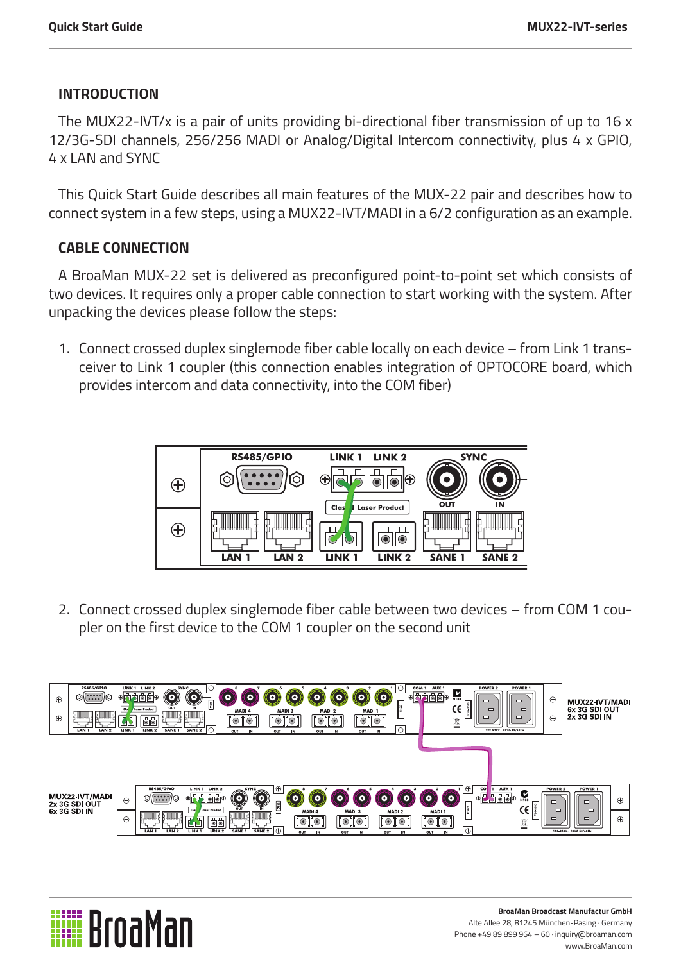## **INTRODUCTION**

The MUX22-IVT/x is a pair of units providing bi-directional fiber transmission of up to 16 x 12/3G-SDI channels, 256/256 MADI or Analog/Digital Intercom connectivity, plus 4 x GPIO, 4 x LAN and SYNC

This Quick Start Guide describes all main features of the MUX-22 pair and describes how to connect system in a few steps, using a MUX22-IVT/MADI in a 6/2 configuration as an example.

# **CABLE CONNECTION**

A BroaMan MUX-22 set is delivered as preconfigured point-to-point set which consists of two devices. It requires only a proper cable connection to start working with the system. After unpacking the devices please follow the steps:

1. Connect crossed duplex singlemode fiber cable locally on each device – from Link 1 transceiver to Link 1 coupler (this connection enables integration of OPTOCORE board, which provides intercom and data connectivity, into the COM fiber)



2. Connect crossed duplex singlemode fiber cable between two devices – from COM 1 coupler on the first device to the COM 1 coupler on the second unit